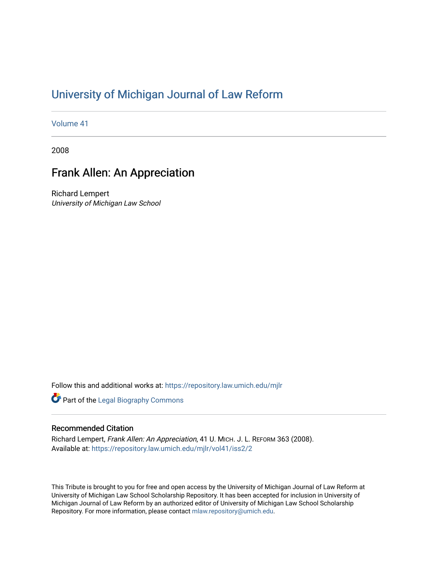## [University of Michigan Journal of Law Reform](https://repository.law.umich.edu/mjlr)

[Volume 41](https://repository.law.umich.edu/mjlr/vol41)

2008

## Frank Allen: An Appreciation

Richard Lempert University of Michigan Law School

Follow this and additional works at: [https://repository.law.umich.edu/mjlr](https://repository.law.umich.edu/mjlr?utm_source=repository.law.umich.edu%2Fmjlr%2Fvol41%2Fiss2%2F2&utm_medium=PDF&utm_campaign=PDFCoverPages) 

**Part of the Legal Biography Commons** 

## Recommended Citation

Richard Lempert, Frank Allen: An Appreciation, 41 U. MICH. J. L. REFORM 363 (2008). Available at: [https://repository.law.umich.edu/mjlr/vol41/iss2/2](https://repository.law.umich.edu/mjlr/vol41/iss2/2?utm_source=repository.law.umich.edu%2Fmjlr%2Fvol41%2Fiss2%2F2&utm_medium=PDF&utm_campaign=PDFCoverPages) 

This Tribute is brought to you for free and open access by the University of Michigan Journal of Law Reform at University of Michigan Law School Scholarship Repository. It has been accepted for inclusion in University of Michigan Journal of Law Reform by an authorized editor of University of Michigan Law School Scholarship Repository. For more information, please contact [mlaw.repository@umich.edu](mailto:mlaw.repository@umich.edu).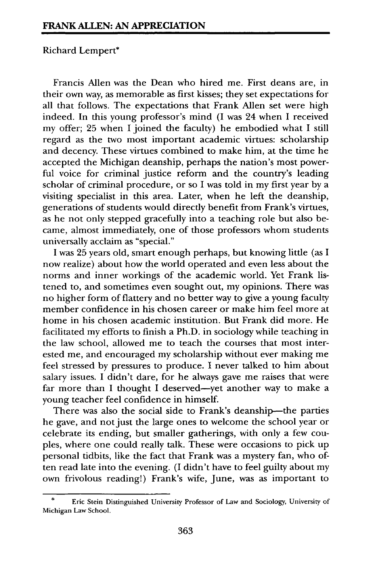## Richard Lempert\*

Francis Allen was the Dean who hired me. First deans are, in their own way, as memorable as first kisses; they set expectations for all that follows. The expectations that Frank Allen set were high indeed. In this young professor's mind **(I** was 24 when I received my offer; 25 when I joined the faculty) he embodied what **I** still regard as the two most important academic virtues: scholarship and decency. These virtues combined to make him, at the time he accepted the Michigan deanship, perhaps the nation's most powerful voice for criminal justice reform and the country's leading scholar of criminal procedure, or so I was told in my first year **by** a visiting specialist in this area. Later, when he left the deanship, generations of students would directly benefit from Frank's virtues, as he not only stepped gracefully into a teaching role but also became, almost immediately, one of those professors whom students universally acclaim as "special."

**I** was 25 years old, smart enough perhaps, but knowing little (as **I** now realize) about how the world operated and even less about the norms and inner workings of the academic world. Yet Frank listened to, and sometimes even sought out, my opinions. There was no higher form of flattery and no better way to give a young faculty member confidence in his chosen career or make him feel more at home in his chosen academic institution. But Frank did more. He facilitated my efforts to finish a Ph.D. in sociology while teaching in the law school, allowed me to teach the courses that most interested me, and encouraged my scholarship without ever making me feel stressed by pressures to produce. I never talked to him about salary issues. I didn't dare, for he always gave me raises that were far more than I thought I deserved—yet another way to make a young teacher feel confidence in himself.

There was also the social side to Frank's deanship-the parties he gave, and not just the large ones to welcome the school year or celebrate its ending, but smaller gatherings, with only a few couples, where one could really talk. These were occasions to pick up personal tidbits, like the fact that Frank was a mystery fan, who often read late into the evening. (I didn't have to feel guilty about my own frivolous reading!) Frank's wife, June, was as important to

Eric Stein Distinguished University Professor of Law and Sociology, University of Michigan Law School.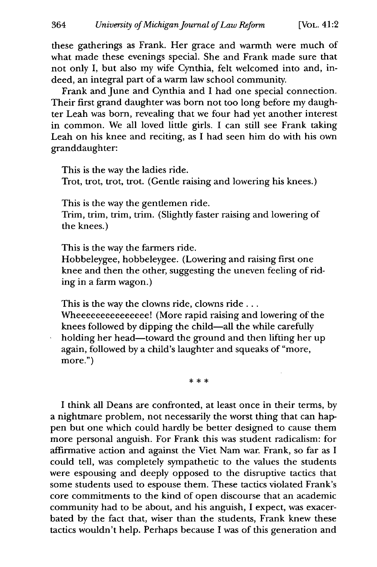these gatherings as Frank. Her grace and warmth were much of what made these evenings special. She and Frank made sure that not only I, but also my wife Cynthia, felt welcomed into and, indeed, an integral part of a warm law school community.

Frank and June and Cynthia and I had one special connection. Their first grand daughter was born not too long before my daughter Leah was born, revealing that we four had yet another interest in common. We all loved little girls. I can still see Frank taking Leah on his knee and reciting, as I had seen him do with his own granddaughter:

This is the way the ladies ride. Trot, trot, trot, trot. (Gentle raising and lowering his knees.)

This is the way the gentlemen ride.

Trim, trim, trim, trim. (Slightly faster raising and lowering of the knees.)

This is the way the farmers ride.

Hobbeleygee, hobbeleygee. (Lowering and raising first one knee and then the other, suggesting the uneven feeling of riding in a farm wagon.)

This is the way the clowns ride, clowns ride... Wheeeeeeeeeeeeeee! (More rapid raising and lowering of the knees followed by dipping the child-all the while carefully holding her head-toward the ground and then lifting her up again, followed by a child's laughter and squeaks of "more, more.")

\* \* \*

I think all Deans are confronted, at least once in their terms, by a nightmare problem, not necessarily the worst thing that can happen but one which could hardly be better designed to cause them more personal anguish. For Frank this was student radicalism: for affirmative action and against the Viet Nam war. Frank, so far as I could tell, was completely sympathetic to the values the students were espousing and deeply opposed to the disruptive tactics that some students used to espouse them. These tactics violated Frank's core commitments to the kind of open discourse that an academic community had to be about, and his anguish, I expect, was exacerbated by the fact that, wiser than the students, Frank knew these tactics wouldn't help. Perhaps because I was of this generation and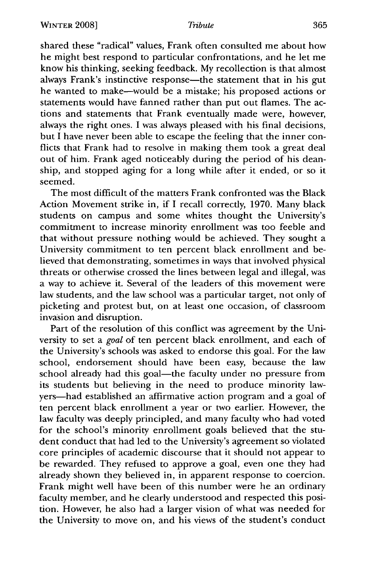shared these "radical" values, Frank often consulted me about how he might best respond to particular confrontations, and he let me know his thinking, seeking feedback. My recollection is that almost always Frank's instinctive response—the statement that in his gut he wanted to make-would be a mistake; his proposed actions or statements would have fanned rather than put out flames. The actions and statements that Frank eventually made were, however, always the right ones. I was always pleased with his final decisions, but I have never been able to escape the feeling that the inner conflicts that Frank had to resolve in making them took a great deal out of him. Frank aged noticeably during the period of his deanship, and stopped aging for a long while after it ended, or so it seemed.

The most difficult of the matters Frank confronted was the Black Action Movement strike in, if I recall correctly, 1970. Many black students on campus and some whites thought the University's commitment to increase minority enrollment was too feeble and that without pressure nothing would be achieved. They sought a University commitment to ten percent black enrollment and believed that demonstrating, sometimes in ways that involved physical threats or otherwise crossed the lines between legal and illegal, was a way to achieve it. Several of the leaders of this movement were law students, and the law school was a particular target, not only of picketing and protest but, on at least one occasion, of classroom invasion and disruption.

Part of the resolution of this conflict was agreement by the University to set a *goal* of ten percent black enrollment, and each of the University's schools was asked to endorse this goal. For the law school, endorsement should have been easy, because the law school already had this goal-the faculty under no pressure from its students but believing in the need to produce minority lawyers-had established an affirmative action program and a goal of ten percent black enrollment a year or two earlier. However, the law faculty was deeply principled, and many faculty who had voted for the school's minority enrollment goals believed that the student conduct that had led to the University's agreement so violated core principles of academic discourse that it should not appear to be rewarded. They refused to approve a goal, even one they had already shown they believed in, in apparent response to coercion. Frank might well have been of this number were he an ordinary faculty member, and he clearly understood and respected this position. However, he also had a larger vision of what was needed for the University to move on, and his views of the student's conduct